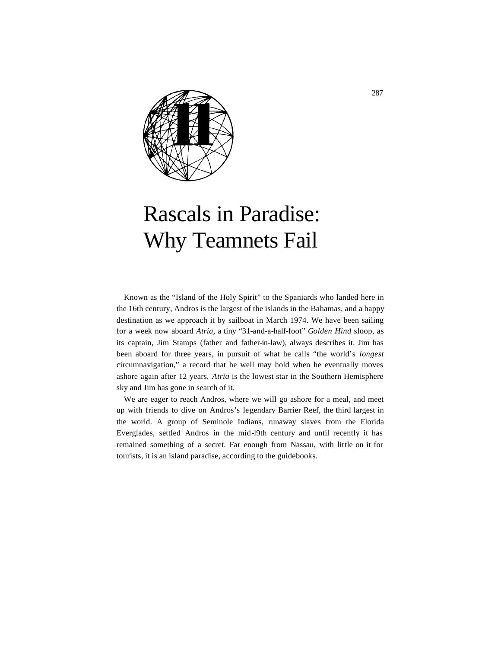

# Rascals in Paradise: Why Teamnets Fail

Known as the "Island of the Holy Spirit" to the Spaniards who landed here in the 16th century, Andros is the largest of the islands in the Bahamas, and a happy destination as we approach it by sailboat in March 1974. We have been sailing for a week now aboard *Atria,* a tiny "31-and-a-half-foot" *Golden Hind* sloop, as its captain, Jim Stamps (father and father-in-law), always describes it. Jim has been aboard for three years, in pursuit of what he calls "the world's *longest*  circumnavigation," a record that he well may hold when he eventually moves ashore again after 12 years. *Atria* is the lowest star in the Southern Hemisphere sky and Jim has gone in search of it.

We are eager to reach Andros, where we will go ashore for a meal, and meet up with friends to dive on Andros's legendary Barrier Reef, the third largest in the world. A group of Seminole Indians, runaway slaves from the Florida Everglades, settled Andros in the mid-l9th century and until recently it has remained something of a secret. Far enough from Nassau, with little on it for tourists, it is an island paradise, according to the guidebooks.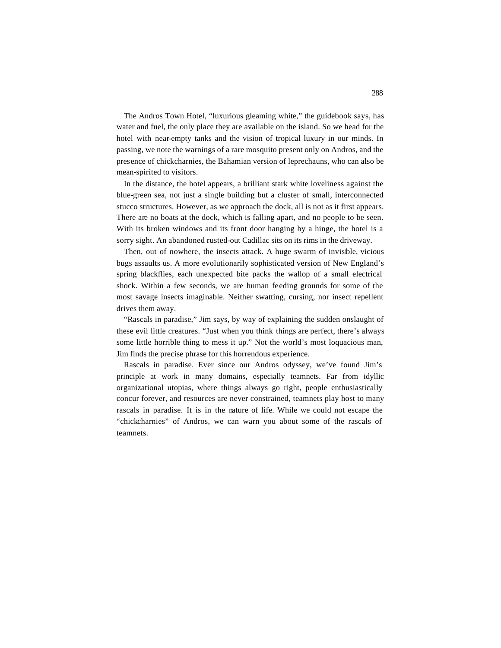The Andros Town Hotel, "luxurious gleaming white," the guidebook says, has water and fuel, the only place they are available on the island. So we head for the hotel with near-empty tanks and the vision of tropical luxury in our minds. In passing, we note the warnings of a rare mosquito present only on Andros, and the presence of chickcharnies, the Bahamian version of leprechauns, who can also be mean-spirited to visitors.

In the distance, the hotel appears, a brilliant stark white loveliness against the blue-green sea, not just a single building but a cluster of small, interconnected stucco structures. However, as we approach the dock, all is not as it first appears. There are no boats at the dock, which is falling apart, and no people to be seen. With its broken windows and its front door hanging by a hinge, the hotel is a sorry sight. An abandoned rusted-out Cadillac sits on its rims in the driveway.

Then, out of nowhere, the insects attack. A huge swarm of invisible, vicious bugs assaults us. A more evolutionarily sophisticated version of New England's spring blackflies, each unexpected bite packs the wallop of a small electrical shock. Within a few seconds, we are human feeding grounds for some of the most savage insects imaginable. Neither swatting, cursing, nor insect repellent drives them away.

"Rascals in paradise," Jim says, by way of explaining the sudden onslaught of these evil little creatures. "Just when you think things are perfect, there's always some little horrible thing to mess it up." Not the world's most loquacious man, Jim finds the precise phrase for this horrendous experience.

Rascals in paradise. Ever since our Andros odyssey, we've found Jim's principle at work in many domains, especially teamnets. Far from idyllic organizational utopias, where things always go right, people enthusiastically concur forever, and resources are never constrained, teamnets play host to many rascals in paradise. It is in the nature of life. While we could not escape the "chickcharnies" of Andros, we can warn you about some of the rascals of teamnets.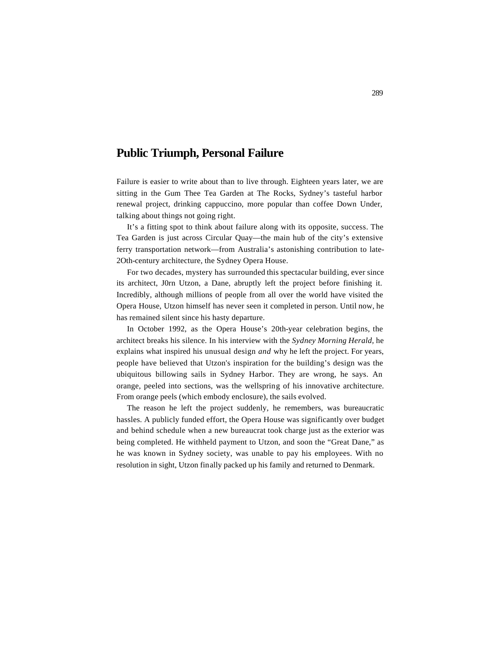## **Public Triumph, Personal Failure**

Failure is easier to write about than to live through. Eighteen years later, we are sitting in the Gum Thee Tea Garden at The Rocks, Sydney's tasteful harbor renewal project, drinking cappuccino, more popular than coffee Down Under, talking about things not going right.

It's a fitting spot to think about failure along with its opposite, success. The Tea Garden is just across Circular Quay—the main hub of the city's extensive ferry transportation network—from Australia's astonishing contribution to late-2Oth-century architecture, the Sydney Opera House.

For two decades, mystery has surrounded this spectacular building, ever since its architect, J0rn Utzon, a Dane, abruptly left the project before finishing it. Incredibly, although millions of people from all over the world have visited the Opera House, Utzon himself has never seen it completed in person. Until now, he has remained silent since his hasty departure.

In October 1992, as the Opera House's 20th-year celebration begins, the architect breaks his silence. In his interview with the *Sydney Morning Herald,* he explains what inspired his unusual design *and* why he left the project. For years, people have believed that Utzon's inspiration for the building's design was the ubiquitous billowing sails in Sydney Harbor. They are wrong, he says. An orange, peeled into sections, was the wellspring of his innovative architecture. From orange peels (which embody enclosure), the sails evolved.

The reason he left the project suddenly, he remembers, was bureaucratic hassles. A publicly funded effort, the Opera House was significantly over budget and behind schedule when a new bureaucrat took charge just as the exterior was being completed. He withheld payment to Utzon, and soon the "Great Dane," as he was known in Sydney society, was unable to pay his employees. With no resolution in sight, Utzon finally packed up his family and returned to Denmark.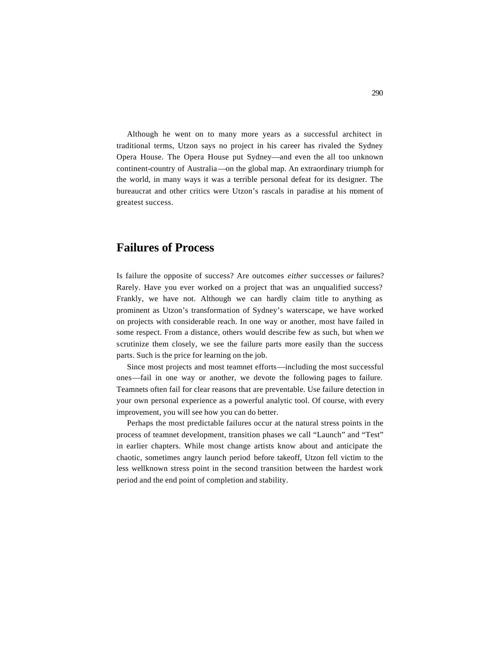Although he went on to many more years as a successful architect in traditional terms, Utzon says no project in his career has rivaled the Sydney Opera House. The Opera House put Sydney—and even the all too unknown continent-country of Australia—on the global map. An extraordinary triumph for the world, in many ways it was a terrible personal defeat for its designer. The bureaucrat and other critics were Utzon's rascals in paradise at his moment of greatest success.

## **Failures of Process**

Is failure the opposite of success? Are outcomes *either* successes *or* failures? Rarely. Have you ever worked on a project that was an unqualified success? Frankly, we have not. Although we can hardly claim title to anything as prominent as Utzon's transformation of Sydney's waterscape, we have worked on projects with considerable reach. In one way or another, most have failed in some respect. From a distance, others would describe few as such, but when *we*  scrutinize them closely, we see the failure parts more easily than the success parts. Such is the price for learning on the job.

Since most projects and most teamnet efforts—including the most successful ones—fail in one way or another, we devote the following pages to failure. Teamnets often fail for clear reasons that are preventable. Use failure detection in your own personal experience as a powerful analytic tool. Of course, with every improvement, you will see how you can do better.

Perhaps the most predictable failures occur at the natural stress points in the process of teamnet development, transition phases we call "Launch" and "Test" in earlier chapters. While most change artists know about and anticipate the chaotic, sometimes angry launch period before takeoff, Utzon fell victim to the less wellknown stress point in the second transition between the hardest work period and the end point of completion and stability.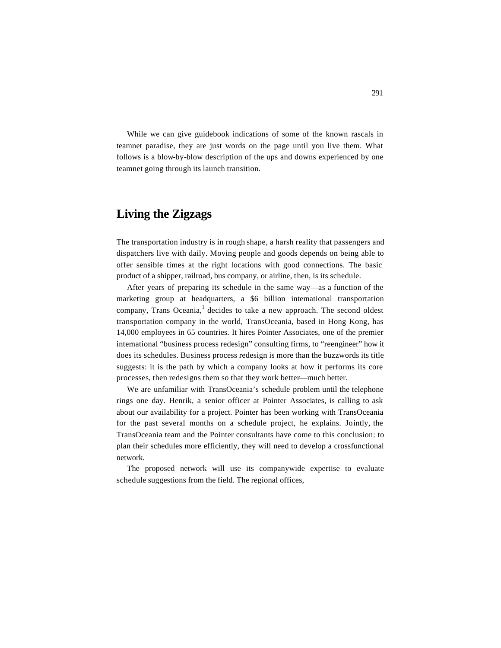While we can give guidebook indications of some of the known rascals in teamnet paradise, they are just words on the page until you live them. What follows is a blow-by-blow description of the ups and downs experienced by one teamnet going through its launch transition.

# **Living the Zigzags**

The transportation industry is in rough shape, a harsh reality that passengers and dispatchers live with daily. Moving people and goods depends on being able to offer sensible times at the right locations with good connections. The basic product of a shipper, railroad, bus company, or airline, then, is its schedule.

After years of preparing its schedule in the same way—as a function of the marketing group at headquarters, a \$6 billion international transportation company, Trans Oceania,<sup>1</sup> decides to take a new approach. The second oldest transportation company in the world, TransOceania, based in Hong Kong, has 14,000 employees in 65 countries. It hires Pointer Associates, one of the premier international "business process redesign" consulting firms, to "reengineer" how it does its schedules. Business process redesign is more than the buzzwords its title suggests: it is the path by which a company looks at how it performs its core processes, then redesigns them so that they work better—much better.

We are unfamiliar with TransOceania's schedule problem until the telephone rings one day. Henrik, a senior officer at Pointer Associates, is calling to ask about our availability for a project. Pointer has been working with TransOceania for the past several months on a schedule project, he explains. Jointly, the TransOceania team and the Pointer consultants have come to this conclusion: to plan their schedules more efficiently, they will need to develop a crossfunctional network.

The proposed network will use its companywide expertise to evaluate schedule suggestions from the field. The regional offices,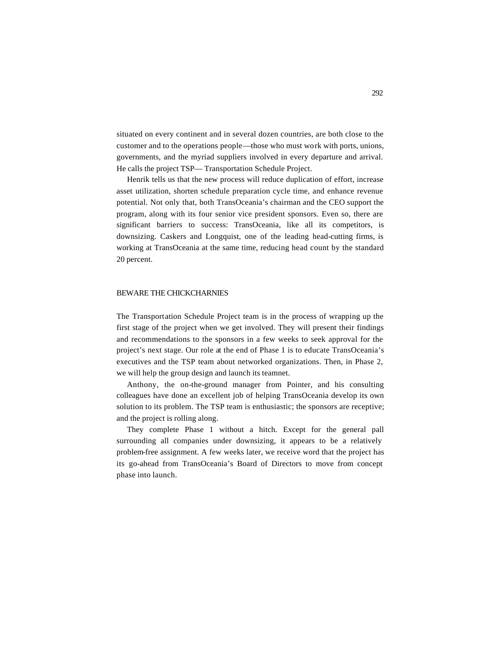situated on every continent and in several dozen countries, are both close to the customer and to the operations people—those who must work with ports, unions, governments, and the myriad suppliers involved in every departure and arrival. He calls the project TSP— Transportation Schedule Project.

Henrik tells us that the new process will reduce duplication of effort, increase asset utilization, shorten schedule preparation cycle time, and enhance revenue potential. Not only that, both TransOceania's chairman and the CEO support the program, along with its four senior vice president sponsors. Even so, there are significant barriers to success: TransOceania, like all its competitors, is downsizing. Caskers and Longquist, one of the leading head-cutting firms, is working at TransOceania at the same time, reducing head count by the standard 20 percent.

#### BEWARE THE CHICKCHARNIES

The Transportation Schedule Project team is in the process of wrapping up the first stage of the project when we get involved. They will present their findings and recommendations to the sponsors in a few weeks to seek approval for the project's next stage. Our role at the end of Phase 1 is to educate TransOceania's executives and the TSP team about networked organizations. Then, in Phase 2, we will help the group design and launch its teamnet.

Anthony, the on-the-ground manager from Pointer, and his consulting colleagues have done an excellent job of helping TransOceania develop its own solution to its problem. The TSP team is enthusiastic; the sponsors are receptive; and the project is rolling along.

They complete Phase 1 without a hitch. Except for the general pall surrounding all companies under downsizing, it appears to be a relatively problem-free assignment. A few weeks later, we receive word that the project has its go-ahead from TransOceania's Board of Directors to move from concept phase into launch.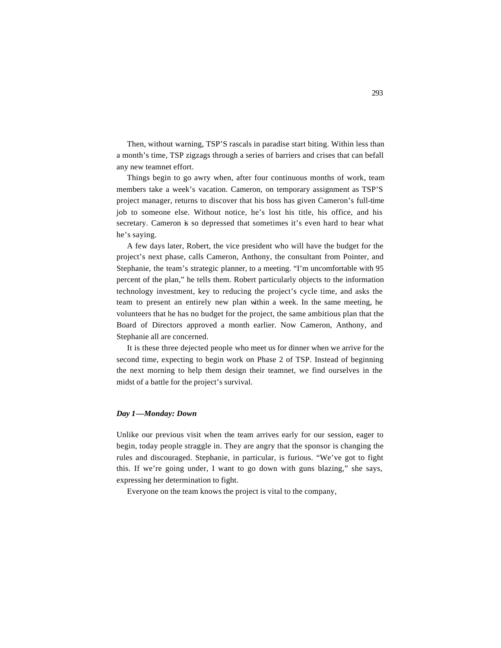Then, without warning, TSP'S rascals in paradise start biting. Within less than a month's time, TSP zigzags through a series of barriers and crises that can befall any new teamnet effort.

Things begin to go awry when, after four continuous months of work, team members take a week's vacation. Cameron, on temporary assignment as TSP'S project manager, returns to discover that his boss has given Cameron's full-time job to someone else. Without notice, he's lost his title, his office, and his secretary. Cameron is so depressed that sometimes it's even hard to hear what he's saying.

A few days later, Robert, the vice president who will have the budget for the project's next phase, calls Cameron, Anthony, the consultant from Pointer, and Stephanie, the team's strategic planner, to a meeting. "I'm uncomfortable with 95 percent of the plan," he tells them. Robert particularly objects to the information technology investment, key to reducing the project's cycle time, and asks the team to present an entirely new plan within a week. In the same meeting, he volunteers that he has no budget for the project, the same ambitious plan that the Board of Directors approved a month earlier. Now Cameron, Anthony, and Stephanie all are concerned.

It is these three dejected people who meet us for dinner when we arrive for the second time, expecting to begin work on Phase 2 of TSP. Instead of beginning the next morning to help them design their teamnet, we find ourselves in the midst of a battle for the project's survival.

#### *Day 1—Monday: Down*

Unlike our previous visit when the team arrives early for our session, eager to begin, today people straggle in. They are angry that the sponsor is changing the rules and discouraged. Stephanie, in particular, is furious. "We've got to fight this. If we're going under, I want to go down with guns blazing," she says, expressing her determination to fight.

Everyone on the team knows the project is vital to the company,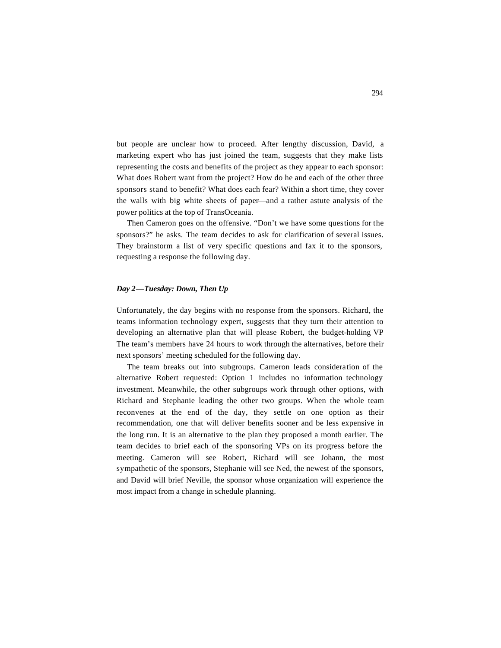but people are unclear how to proceed. After lengthy discussion, David, a marketing expert who has just joined the team, suggests that they make lists representing the costs and benefits of the project as they appear to each sponsor: What does Robert want from the project? How do he and each of the other three sponsors stand to benefit? What does each fear? Within a short time, they cover the walls with big white sheets of paper—and a rather astute analysis of the power politics at the top of TransOceania.

Then Cameron goes on the offensive. "Don't we have some questions for the sponsors?" he asks. The team decides to ask for clarification of several issues. They brainstorm a list of very specific questions and fax it to the sponsors, requesting a response the following day.

#### *Day 2—Tuesday: Down, Then Up*

Unfortunately, the day begins with no response from the sponsors. Richard, the teams information technology expert, suggests that they turn their attention to developing an alternative plan that will please Robert, the budget-holding VP The team's members have 24 hours to work through the alternatives, before their next sponsors' meeting scheduled for the following day.

The team breaks out into subgroups. Cameron leads consideration of the alternative Robert requested: Option 1 includes no information technology investment. Meanwhile, the other subgroups work through other options, with Richard and Stephanie leading the other two groups. When the whole team reconvenes at the end of the day, they settle on one option as their recommendation, one that will deliver benefits sooner and be less expensive in the long run. It is an alternative to the plan they proposed a month earlier. The team decides to brief each of the sponsoring VPs on its progress before the meeting. Cameron will see Robert, Richard will see Johann, the most sympathetic of the sponsors, Stephanie will see Ned, the newest of the sponsors, and David will brief Neville, the sponsor whose organization will experience the most impact from a change in schedule planning.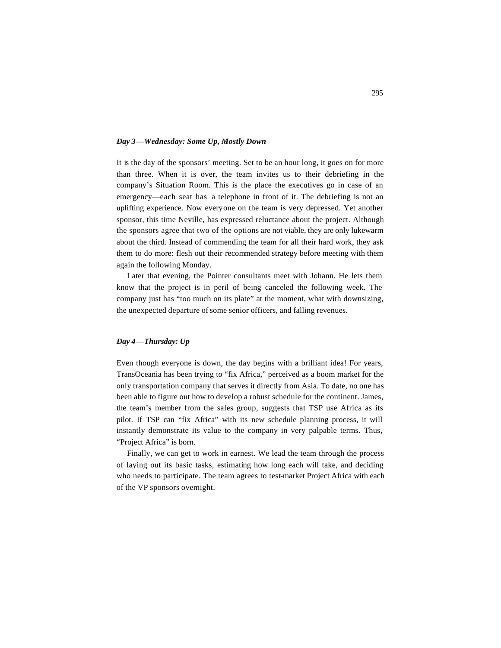#### *Day 3—Wednesday: Some Up, Mostly Down*

It is the day of the sponsors' meeting. Set to be an hour long, it goes on for more than three. When it is over, the team invites us to their debriefing in the company's Situation Room. This is the place the executives go in case of an emergency—each seat has a telephone in front of it. The debriefing is not an uplifting experience. Now everyone on the team is very depressed. Yet another sponsor, this time Neville, has expressed reluctance about the project. Although the sponsors agree that two of the options are not viable, they are only lukewarm about the third. Instead of commending the team for all their hard work, they ask them to do more: flesh out their recommended strategy before meeting with them again the following Monday.

Later that evening, the Pointer consultants meet with Johann. He lets them know that the project is in peril of being canceled the following week. The company just has "too much on its plate" at the moment, what with downsizing, the unexpected departure of some senior officers, and falling revenues.

### *Day 4—Thursday: Up*

Even though everyone is down, the day begins with a brilliant idea! For years, TransOceania has been trying to "fix Africa," perceived as a boom market for the only transportation company that serves it directly from Asia. To date, no one has been able to figure out how to develop a robust schedule for the continent. James, the team's member from the sales group, suggests that TSP use Africa as its pilot. If TSP can "fix Africa" with its new schedule planning process, it will instantly demonstrate its value to the company in very palpable terms. Thus, "Project Africa" is born.

Finally, we can get to work in earnest. We lead the team through the process of laying out its basic tasks, estimating how long each will take, and deciding who needs to participate. The team agrees to test-market Project Africa with each of the VP sponsors overnight.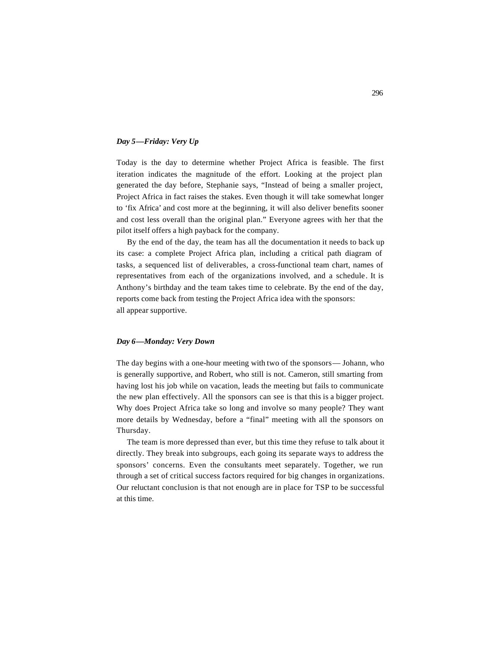#### *Day 5—Friday: Very Up*

Today is the day to determine whether Project Africa is feasible. The first iteration indicates the magnitude of the effort. Looking at the project plan generated the day before, Stephanie says, "Instead of being a smaller project, Project Africa in fact raises the stakes. Even though it will take somewhat longer to 'fix Africa' and cost more at the beginning, it will also deliver benefits sooner and cost less overall than the original plan." Everyone agrees with her that the pilot itself offers a high payback for the company.

By the end of the day, the team has all the documentation it needs to back up its case: a complete Project Africa plan, including a critical path diagram of tasks, a sequenced list of deliverables, a cross-functional team chart, names of representatives from each of the organizations involved, and a schedule. It is Anthony's birthday and the team takes time to celebrate. By the end of the day, reports come back from testing the Project Africa idea with the sponsors: all appear supportive.

#### *Day 6—Monday: Very Down*

The day begins with a one-hour meeting with two of the sponsors— Johann, who is generally supportive, and Robert, who still is not. Cameron, still smarting from having lost his job while on vacation, leads the meeting but fails to communicate the new plan effectively. All the sponsors can see is that this is a bigger project. Why does Project Africa take so long and involve so many people? They want more details by Wednesday, before a "final" meeting with all the sponsors on Thursday.

The team is more depressed than ever, but this time they refuse to talk about it directly. They break into subgroups, each going its separate ways to address the sponsors' concerns. Even the consultants meet separately. Together, we run through a set of critical success factors required for big changes in organizations. Our reluctant conclusion is that not enough are in place for TSP to be successful at this time.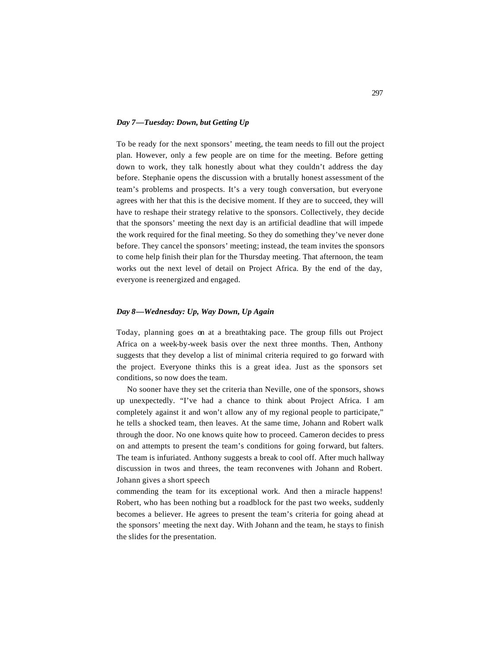#### *Day 7—Tuesday: Down, but Getting Up*

To be ready for the next sponsors' meeting, the team needs to fill out the project plan. However, only a few people are on time for the meeting. Before getting down to work, they talk honestly about what they couldn't address the day before. Stephanie opens the discussion with a brutally honest assessment of the team's problems and prospects. It's a very tough conversation, but everyone agrees with her that this is the decisive moment. If they are to succeed, they will have to reshape their strategy relative to the sponsors. Collectively, they decide that the sponsors' meeting the next day is an artificial deadline that will impede the work required for the final meeting. So they do something they've never done before. They cancel the sponsors' meeting; instead, the team invites the sponsors to come help finish their plan for the Thursday meeting. That afternoon, the team works out the next level of detail on Project Africa. By the end of the day, everyone is reenergized and engaged.

#### *Day 8—Wednesday: Up, Way Down, Up Again*

Today, planning goes on at a breathtaking pace. The group fills out Project Africa on a week-by-week basis over the next three months. Then, Anthony suggests that they develop a list of minimal criteria required to go forward with the project. Everyone thinks this is a great idea. Just as the sponsors set conditions, so now does the team.

No sooner have they set the criteria than Neville, one of the sponsors, shows up unexpectedly. "I've had a chance to think about Project Africa. I am completely against it and won't allow any of my regional people to participate," he tells a shocked team, then leaves. At the same time, Johann and Robert walk through the door. No one knows quite how to proceed. Cameron decides to press on and attempts to present the team's conditions for going forward, but falters. The team is infuriated. Anthony suggests a break to cool off. After much hallway discussion in twos and threes, the team reconvenes with Johann and Robert. Johann gives a short speech

commending the team for its exceptional work. And then a miracle happens! Robert, who has been nothing but a roadblock for the past two weeks, suddenly becomes a believer. He agrees to present the team's criteria for going ahead at the sponsors' meeting the next day. With Johann and the team, he stays to finish the slides for the presentation.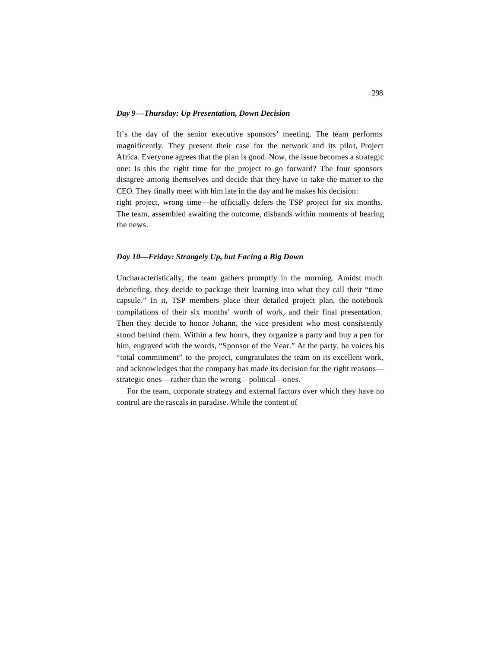#### *Day 9—Thursday: Up Presentation, Down Decision*

It's the day of the senior executive sponsors' meeting. The team performs magnificently. They present their case for the network and its pilot, Project Africa. Everyone agrees that the plan is good. Now, the issue becomes a strategic one: Is this the right time for the project to go forward? The four sponsors disagree among themselves and decide that they have to take the matter to the CEO. They finally meet with him late in the day and he makes his decision:

right project, wrong time—he officially defers the TSP project for six months. The team, assembled awaiting the outcome, disbands within moments of hearing the news.

#### *Day 10—Friday: Strangely Up, but Facing a Big Down*

Uncharacteristically, the team gathers promptly in the morning. Amidst much debriefing, they decide to package their learning into what they call their "time capsule." In it, TSP members place their detailed project plan, the notebook compilations of their six months' worth of work, and their final presentation. Then they decide to honor Johann, the vice president who most consistently stood behind them. Within a few hours, they organize a party and buy a pen for him, engraved with the words, "Sponsor of the Year." At the party, he voices his "total commitment" to the project, congratulates the team on its excellent work, and acknowledges that the company has made its decision for the right reasons strategic ones—rather than the wrong—political—ones.

For the team, corporate strategy and external factors over which they have no control are the rascals in paradise. While the content of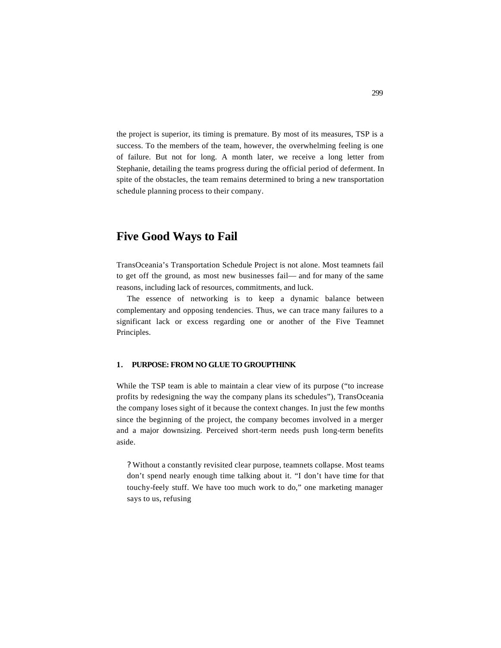the project is superior, its timing is premature. By most of its measures, TSP is a success. To the members of the team, however, the overwhelming feeling is one of failure. But not for long. A month later, we receive a long letter from Stephanie, detailing the teams progress during the official period of deferment. In spite of the obstacles, the team remains determined to bring a new transportation schedule planning process to their company.

## **Five Good Ways to Fail**

TransOceania's Transportation Schedule Project is not alone. Most teamnets fail to get off the ground, as most new businesses fail— and for many of the same reasons, including lack of resources, commitments, and luck.

The essence of networking is to keep a dynamic balance between complementary and opposing tendencies. Thus, we can trace many failures to a significant lack or excess regarding one or another of the Five Teamnet Principles.

#### **1. PURPOSE: FROM NO GLUE TO GROUPTHINK**

While the TSP team is able to maintain a clear view of its purpose ("to increase profits by redesigning the way the company plans its schedules"), TransOceania the company loses sight of it because the context changes. In just the few months since the beginning of the project, the company becomes involved in a merger and a major downsizing. Perceived short-term needs push long-term benefits aside.

? Without a constantly revisited clear purpose, teamnets collapse. Most teams don't spend nearly enough time talking about it. "I don't have time for that touchy-feely stuff. We have too much work to do," one marketing manager says to us, refusing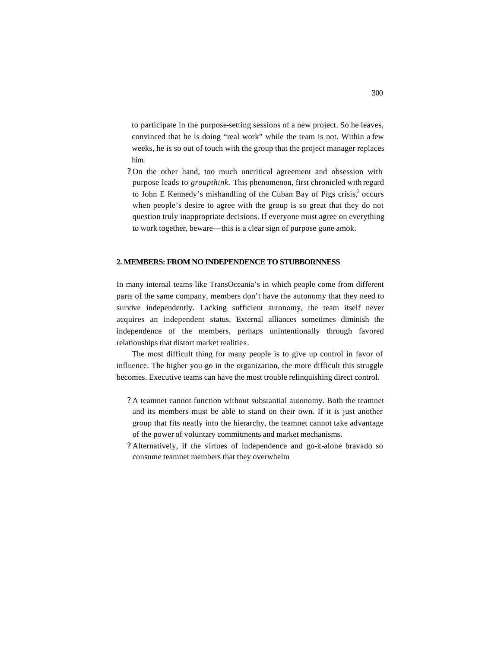to participate in the purpose-setting sessions of a new project. So he leaves, convinced that he is doing "real work" while the team is not. Within a few weeks, he is so out of touch with the group that the project manager replaces him.

? On the other hand, too much uncritical agreement and obsession with purpose leads to *groupthink.* This phenomenon, first chronicled with regard to John E Kennedy's mishandling of the Cuban Bay of Pigs crisis, $^2$  occurs when people's desire to agree with the group is so great that they do not question truly inappropriate decisions. If everyone must agree on everything to work together, beware—this is a clear sign of purpose gone amok.

#### **2. MEMBERS: FROM NO INDEPENDENCE TO STUBBORNNESS**

In many internal teams like TransOceania's in which people come from different parts of the same company, members don't have the autonomy that they need to survive independently. Lacking sufficient autonomy, the team itself never acquires an independent status. External alliances sometimes diminish the independence of the members, perhaps unintentionally through favored relationships that distort market realities.

The most difficult thing for many people is to give up control in favor of influence. The higher you go in the organization, the more difficult this struggle becomes. Executive teams can have the most trouble relinquishing direct control.

- ? A teamnet cannot function without substantial autonomy. Both the teamnet and its members must be able to stand on their own. If it is just another group that fits neatly into the hierarchy, the teamnet cannot take advantage of the power of voluntary commitments and market mechanisms.
- ? Alternatively, if the virtues of independence and go-it-alone bravado so consume teamnet members that they overwhelm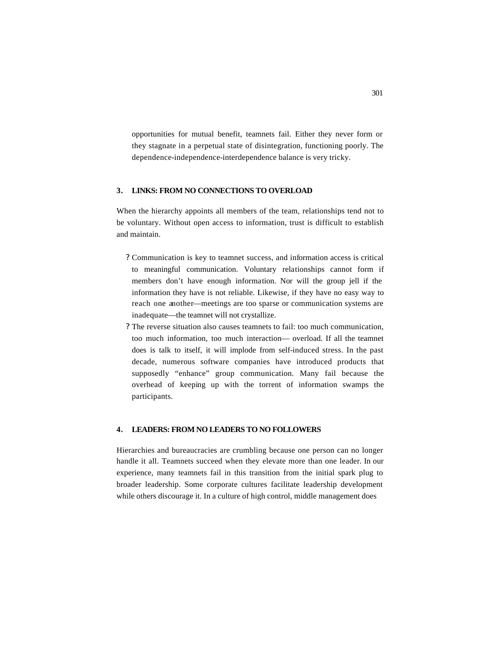opportunities for mutual benefit, teamnets fail. Either they never form or they stagnate in a perpetual state of disintegration, functioning poorly. The dependence-independence-interdependence balance is very tricky.

#### **3. LINKS: FROM NO CONNECTIONS TO OVERLOAD**

When the hierarchy appoints all members of the team, relationships tend not to be voluntary. Without open access to information, trust is difficult to establish and maintain.

- ? Communication is key to teamnet success, and information access is critical to meaningful communication. Voluntary relationships cannot form if members don't have enough information. Nor will the group jell if the information they have is not reliable. Likewise, if they have no easy way to reach one another—meetings are too sparse or communication systems are inadequate—the teamnet will not crystallize.
- ? The reverse situation also causes teamnets to fail: too much communication, too much information, too much interaction— overload. If all the teamnet does is talk to itself, it will implode from self-induced stress. In the past decade, numerous software companies have introduced products that supposedly "enhance" group communication. Many fail because the overhead of keeping up with the torrent of information swamps the participants.

#### **4. LEADERS: FROM NO LEADERS TO NO FOLLOWERS**

Hierarchies and bureaucracies are crumbling because one person can no longer handle it all. Teamnets succeed when they elevate more than one leader. In our experience, many teamnets fail in this transition from the initial spark plug to broader leadership. Some corporate cultures facilitate leadership development while others discourage it. In a culture of high control, middle management does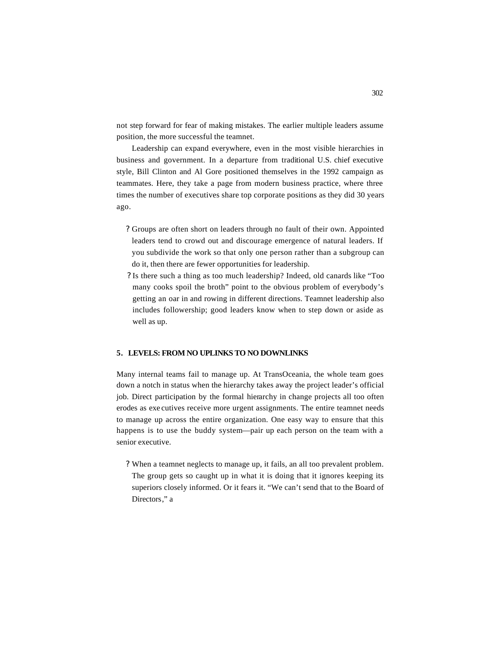not step forward for fear of making mistakes. The earlier multiple leaders assume position, the more successful the teamnet.

Leadership can expand everywhere, even in the most visible hierarchies in business and government. In a departure from traditional U.S. chief executive style, Bill Clinton and Al Gore positioned themselves in the 1992 campaign as teammates. Here, they take a page from modern business practice, where three times the number of executives share top corporate positions as they did 30 years ago.

- ? Groups are often short on leaders through no fault of their own. Appointed leaders tend to crowd out and discourage emergence of natural leaders. If you subdivide the work so that only one person rather than a subgroup can do it, then there are fewer opportunities for leadership.
- ? Is there such a thing as too much leadership? Indeed, old canards like "Too many cooks spoil the broth" point to the obvious problem of everybody's getting an oar in and rowing in different directions. Teamnet leadership also includes followership; good leaders know when to step down or aside as well as up.

#### **5. LEVELS: FROM NO UPLINKS TO NO DOWNLINKS**

Many internal teams fail to manage up. At TransOceania, the whole team goes down a notch in status when the hierarchy takes away the project leader's official job. Direct participation by the formal hierarchy in change projects all too often erodes as exe cutives receive more urgent assignments. The entire teamnet needs to manage up across the entire organization. One easy way to ensure that this happens is to use the buddy system—pair up each person on the team with a senior executive.

? When a teamnet neglects to manage up, it fails, an all too prevalent problem. The group gets so caught up in what it is doing that it ignores keeping its superiors closely informed. Or it fears it. "We can't send that to the Board of Directors," a